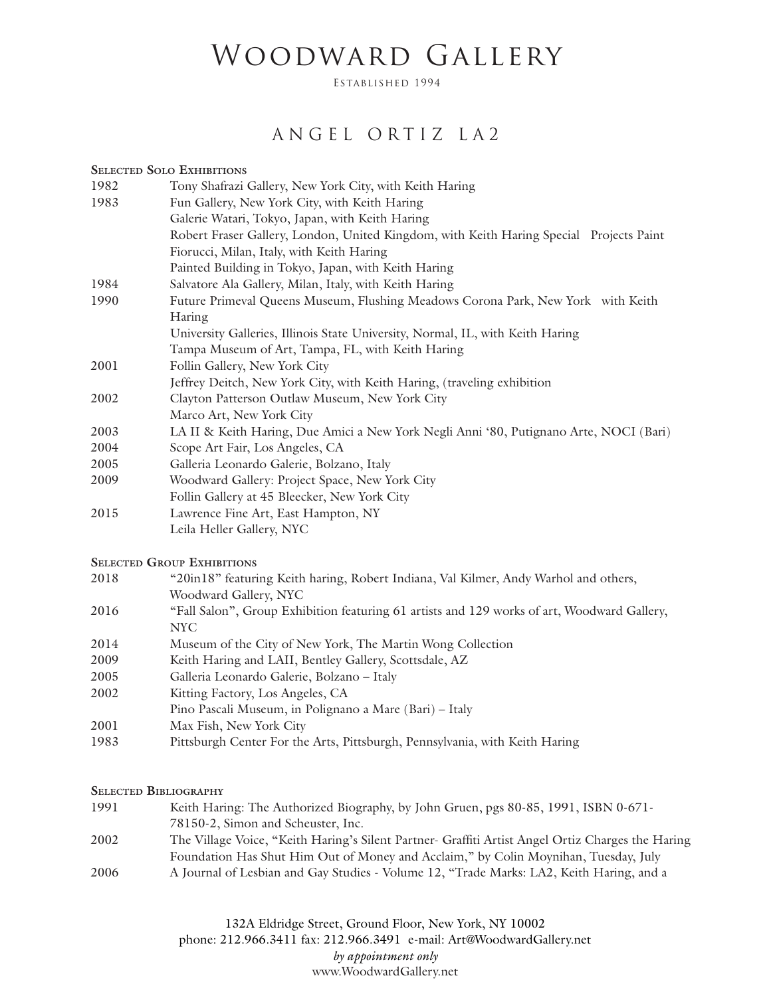# Woodward Gallery

Established 1994

### ANGEL ORTIZ LA2

#### **Selected Solo Exhibitions**

| 1982 | Tony Shafrazi Gallery, New York City, with Keith Haring                                 |
|------|-----------------------------------------------------------------------------------------|
| 1983 | Fun Gallery, New York City, with Keith Haring                                           |
|      | Galerie Watari, Tokyo, Japan, with Keith Haring                                         |
|      | Robert Fraser Gallery, London, United Kingdom, with Keith Haring Special Projects Paint |
|      | Fiorucci, Milan, Italy, with Keith Haring                                               |
|      | Painted Building in Tokyo, Japan, with Keith Haring                                     |
| 1984 | Salvatore Ala Gallery, Milan, Italy, with Keith Haring                                  |
| 1990 | Future Primeval Queens Museum, Flushing Meadows Corona Park, New York with Keith        |
|      | Haring                                                                                  |
|      | University Galleries, Illinois State University, Normal, IL, with Keith Haring          |
|      | Tampa Museum of Art, Tampa, FL, with Keith Haring                                       |
| 2001 | Follin Gallery, New York City                                                           |
|      | Jeffrey Deitch, New York City, with Keith Haring, (traveling exhibition                 |
| 2002 | Clayton Patterson Outlaw Museum, New York City                                          |
|      | Marco Art, New York City                                                                |
| 2003 | LA II & Keith Haring, Due Amici a New York Negli Anni '80, Putignano Arte, NOCI (Bari)  |
| 2004 | Scope Art Fair, Los Angeles, CA                                                         |
| 2005 | Galleria Leonardo Galerie, Bolzano, Italy                                               |
| 2009 | Woodward Gallery: Project Space, New York City                                          |
|      | Follin Gallery at 45 Bleecker, New York City                                            |
| 2015 | Lawrence Fine Art, East Hampton, NY                                                     |

Leila Heller Gallery, NYC

### **Selected Group Exhibitions**

| 2018 | "20in18" featuring Keith haring, Robert Indiana, Val Kilmer, Andy Warhol and others,   |
|------|----------------------------------------------------------------------------------------|
|      | Woodward Gallery, NYC                                                                  |
| 2016 | "Eall Salon" Group Exhibition featuring 61 artists and 120 works of art Woodward Galle |

- 2016 "Fall Salon", Group Exhibition featuring 61 artists and 129 works of art, Woodward Gallery, NYC
- 2014 Museum of the City of New York, The Martin Wong Collection
- 2009 Keith Haring and LAII, Bentley Gallery, Scottsdale, AZ
- 2005 Galleria Leonardo Galerie, Bolzano Italy
- 2002 Kitting Factory, Los Angeles, CA
- Pino Pascali Museum, in Polignano a Mare (Bari) Italy
- 2001 Max Fish, New York City
- 1983 Pittsburgh Center For the Arts, Pittsburgh, Pennsylvania, with Keith Haring

#### **Selected Bibliography**

1991 Keith Haring: The Authorized Biography, by John Gruen, pgs 80-85, 1991, ISBN 0-671- 78150-2, Simon and Scheuster, Inc. 2002 The Village Voice, "Keith Haring's Silent Partner- Graffiti Artist Angel Ortiz Charges the Haring Foundation Has Shut Him Out of Money and Acclaim," by Colin Moynihan, Tuesday, July 2006 A Journal of Lesbian and Gay Studies - Volume 12, "Trade Marks: LA2, Keith Haring, and a

> 132A Eldridge Street, Ground Floor, New York, NY 10002 phone: 212.966.3411 fax: 212.966.3491 e-mail: Art@WoodwardGallery.net *by appointment only* www.WoodwardGallery.net